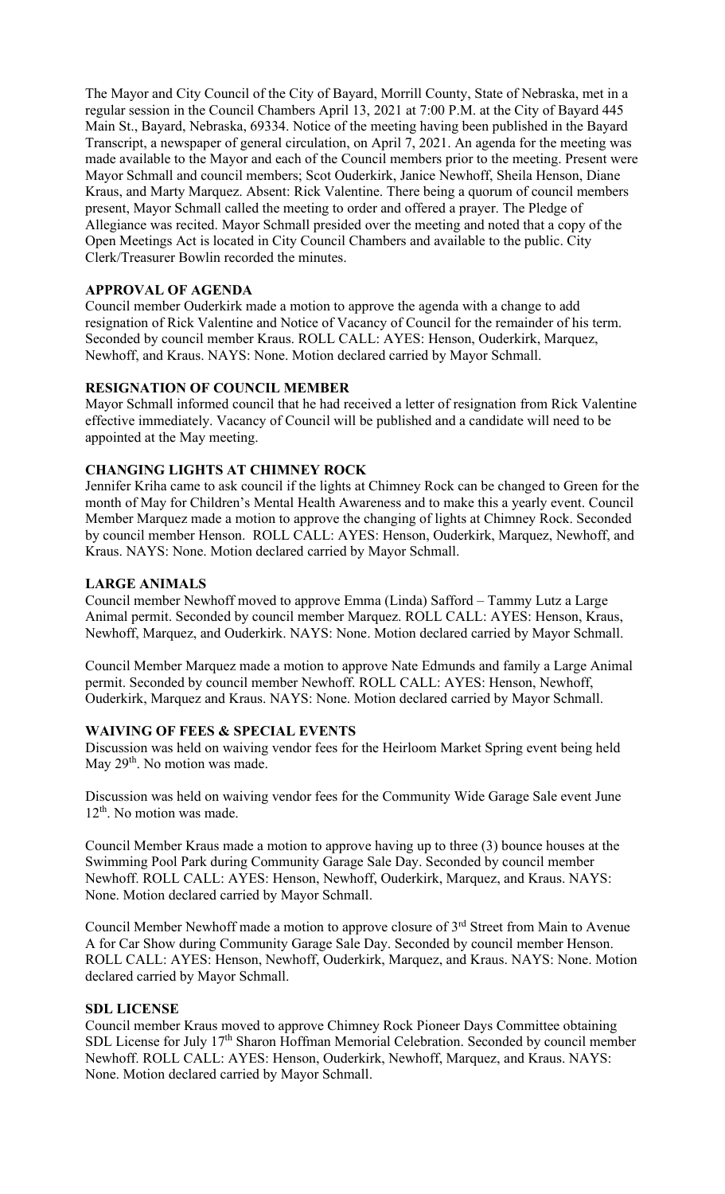The Mayor and City Council of the City of Bayard, Morrill County, State of Nebraska, met in a regular session in the Council Chambers April 13, 2021 at 7:00 P.M. at the City of Bayard 445 Main St., Bayard, Nebraska, 69334. Notice of the meeting having been published in the Bayard Transcript, a newspaper of general circulation, on April 7, 2021. An agenda for the meeting was made available to the Mayor and each of the Council members prior to the meeting. Present were Mayor Schmall and council members; Scot Ouderkirk, Janice Newhoff, Sheila Henson, Diane Kraus, and Marty Marquez. Absent: Rick Valentine. There being a quorum of council members present, Mayor Schmall called the meeting to order and offered a prayer. The Pledge of Allegiance was recited. Mayor Schmall presided over the meeting and noted that a copy of the Open Meetings Act is located in City Council Chambers and available to the public. City Clerk/Treasurer Bowlin recorded the minutes.

## **APPROVAL OF AGENDA**

Council member Ouderkirk made a motion to approve the agenda with a change to add resignation of Rick Valentine and Notice of Vacancy of Council for the remainder of his term. Seconded by council member Kraus. ROLL CALL: AYES: Henson, Ouderkirk, Marquez, Newhoff, and Kraus. NAYS: None. Motion declared carried by Mayor Schmall.

## **RESIGNATION OF COUNCIL MEMBER**

Mayor Schmall informed council that he had received a letter of resignation from Rick Valentine effective immediately. Vacancy of Council will be published and a candidate will need to be appointed at the May meeting.

#### **CHANGING LIGHTS AT CHIMNEY ROCK**

Jennifer Kriha came to ask council if the lights at Chimney Rock can be changed to Green for the month of May for Children's Mental Health Awareness and to make this a yearly event. Council Member Marquez made a motion to approve the changing of lights at Chimney Rock. Seconded by council member Henson. ROLL CALL: AYES: Henson, Ouderkirk, Marquez, Newhoff, and Kraus. NAYS: None. Motion declared carried by Mayor Schmall.

#### **LARGE ANIMALS**

Council member Newhoff moved to approve Emma (Linda) Safford – Tammy Lutz a Large Animal permit. Seconded by council member Marquez. ROLL CALL: AYES: Henson, Kraus, Newhoff, Marquez, and Ouderkirk. NAYS: None. Motion declared carried by Mayor Schmall.

Council Member Marquez made a motion to approve Nate Edmunds and family a Large Animal permit. Seconded by council member Newhoff. ROLL CALL: AYES: Henson, Newhoff, Ouderkirk, Marquez and Kraus. NAYS: None. Motion declared carried by Mayor Schmall.

#### **WAIVING OF FEES & SPECIAL EVENTS**

Discussion was held on waiving vendor fees for the Heirloom Market Spring event being held May 29<sup>th</sup>. No motion was made.

Discussion was held on waiving vendor fees for the Community Wide Garage Sale event June 12<sup>th</sup>. No motion was made.

Council Member Kraus made a motion to approve having up to three (3) bounce houses at the Swimming Pool Park during Community Garage Sale Day. Seconded by council member Newhoff. ROLL CALL: AYES: Henson, Newhoff, Ouderkirk, Marquez, and Kraus. NAYS: None. Motion declared carried by Mayor Schmall.

Council Member Newhoff made a motion to approve closure of 3<sup>rd</sup> Street from Main to Avenue A for Car Show during Community Garage Sale Day. Seconded by council member Henson. ROLL CALL: AYES: Henson, Newhoff, Ouderkirk, Marquez, and Kraus. NAYS: None. Motion declared carried by Mayor Schmall.

#### **SDL LICENSE**

Council member Kraus moved to approve Chimney Rock Pioneer Days Committee obtaining SDL License for July 17<sup>th</sup> Sharon Hoffman Memorial Celebration. Seconded by council member Newhoff. ROLL CALL: AYES: Henson, Ouderkirk, Newhoff, Marquez, and Kraus. NAYS: None. Motion declared carried by Mayor Schmall.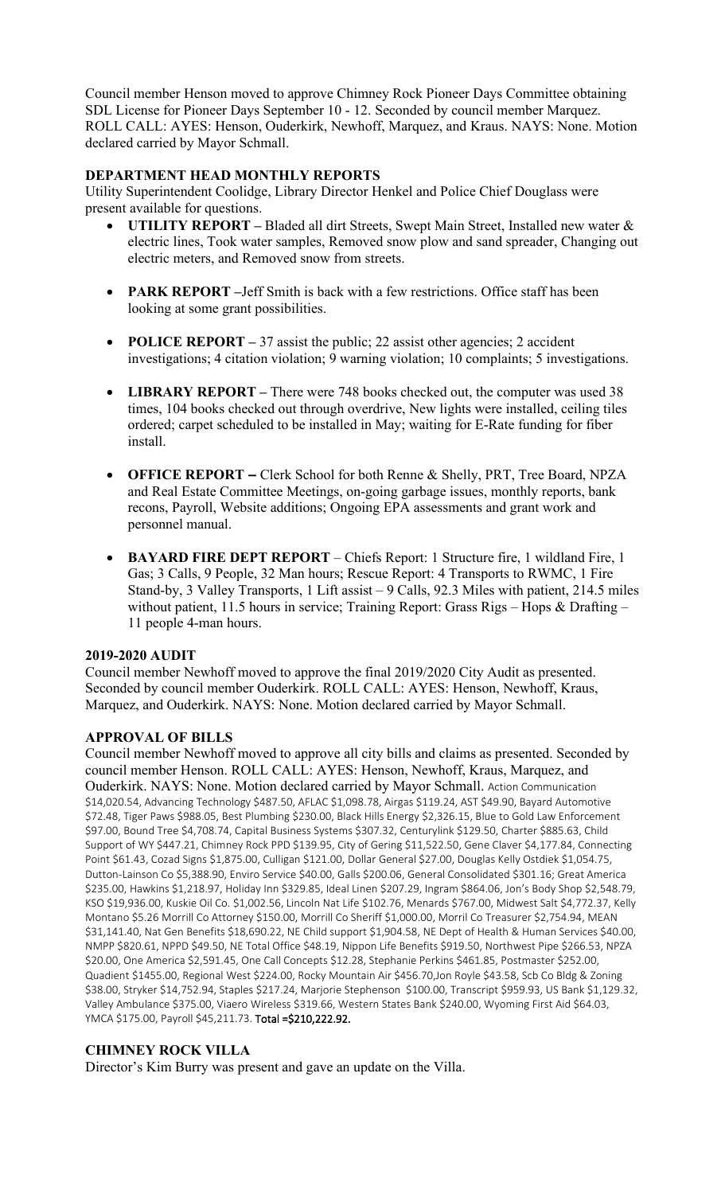Council member Henson moved to approve Chimney Rock Pioneer Days Committee obtaining SDL License for Pioneer Days September 10 - 12. Seconded by council member Marquez. ROLL CALL: AYES: Henson, Ouderkirk, Newhoff, Marquez, and Kraus. NAYS: None. Motion declared carried by Mayor Schmall.

### **DEPARTMENT HEAD MONTHLY REPORTS**

Utility Superintendent Coolidge, Library Director Henkel and Police Chief Douglass were present available for questions.

- **UTILITY REPORT –** Bladed all dirt Streets, Swept Main Street, Installed new water & electric lines, Took water samples, Removed snow plow and sand spreader, Changing out electric meters, and Removed snow from streets.
- **PARK REPORT** –Jeff Smith is back with a few restrictions. Office staff has been looking at some grant possibilities.
- **POLICE REPORT** 37 assist the public; 22 assist other agencies; 2 accident investigations; 4 citation violation; 9 warning violation; 10 complaints; 5 investigations.
- **LIBRARY REPORT** There were 748 books checked out, the computer was used 38 times, 104 books checked out through overdrive, New lights were installed, ceiling tiles ordered; carpet scheduled to be installed in May; waiting for E-Rate funding for fiber install.
- **OFFICE REPORT –** Clerk School for both Renne & Shelly, PRT, Tree Board, NPZA and Real Estate Committee Meetings, on-going garbage issues, monthly reports, bank recons, Payroll, Website additions; Ongoing EPA assessments and grant work and personnel manual.
- **BAYARD FIRE DEPT REPORT**  Chiefs Report: 1 Structure fire, 1 wildland Fire, 1 Gas; 3 Calls, 9 People, 32 Man hours; Rescue Report: 4 Transports to RWMC, 1 Fire Stand-by, 3 Valley Transports, 1 Lift assist – 9 Calls, 92.3 Miles with patient, 214.5 miles without patient, 11.5 hours in service; Training Report: Grass Rigs - Hops & Drafting -11 people 4-man hours.

# **2019-2020 AUDIT**

Council member Newhoff moved to approve the final 2019/2020 City Audit as presented. Seconded by council member Ouderkirk. ROLL CALL: AYES: Henson, Newhoff, Kraus, Marquez, and Ouderkirk. NAYS: None. Motion declared carried by Mayor Schmall.

# **APPROVAL OF BILLS**

Council member Newhoff moved to approve all city bills and claims as presented. Seconded by council member Henson. ROLL CALL: AYES: Henson, Newhoff, Kraus, Marquez, and Ouderkirk. NAYS: None. Motion declared carried by Mayor Schmall. Action Communication \$14,020.54, Advancing Technology \$487.50, AFLAC \$1,098.78, Airgas \$119.24, AST \$49.90, Bayard Automotive \$72.48, Tiger Paws \$988.05, Best Plumbing \$230.00, Black Hills Energy \$2,326.15, Blue to Gold Law Enforcement \$97.00, Bound Tree \$4,708.74, Capital Business Systems \$307.32, Centurylink \$129.50, Charter \$885.63, Child Support of WY \$447.21, Chimney Rock PPD \$139.95, City of Gering \$11,522.50, Gene Claver \$4,177.84, Connecting Point \$61.43, Cozad Signs \$1,875.00, Culligan \$121.00, Dollar General \$27.00, Douglas Kelly Ostdiek \$1,054.75, Dutton-Lainson Co \$5,388.90, Enviro Service \$40.00, Galls \$200.06, General Consolidated \$301.16; Great America \$235.00, Hawkins \$1,218.97, Holiday Inn \$329.85, Ideal Linen \$207.29, Ingram \$864.06, Jon's Body Shop \$2,548.79, KSO \$19,936.00, Kuskie Oil Co. \$1,002.56, Lincoln Nat Life \$102.76, Menards \$767.00, Midwest Salt \$4,772.37, Kelly Montano \$5.26 Morrill Co Attorney \$150.00, Morrill Co Sheriff \$1,000.00, Morril Co Treasurer \$2,754.94, MEAN \$31,141.40, Nat Gen Benefits \$18,690.22, NE Child support \$1,904.58, NE Dept of Health & Human Services \$40.00, NMPP \$820.61, NPPD \$49.50, NE Total Office \$48.19, Nippon Life Benefits \$919.50, Northwest Pipe \$266.53, NPZA \$20.00, One America \$2,591.45, One Call Concepts \$12.28, Stephanie Perkins \$461.85, Postmaster \$252.00, Quadient \$1455.00, Regional West \$224.00, Rocky Mountain Air \$456.70,Jon Royle \$43.58, Scb Co Bldg & Zoning \$38.00, Stryker \$14,752.94, Staples \$217.24, Marjorie Stephenson \$100.00, Transcript \$959.93, US Bank \$1,129.32, Valley Ambulance \$375.00, Viaero Wireless \$319.66, Western States Bank \$240.00, Wyoming First Aid \$64.03, YMCA \$175.00, Payroll \$45,211.73. Total =\$210,222.92.

# **CHIMNEY ROCK VILLA**

Director's Kim Burry was present and gave an update on the Villa.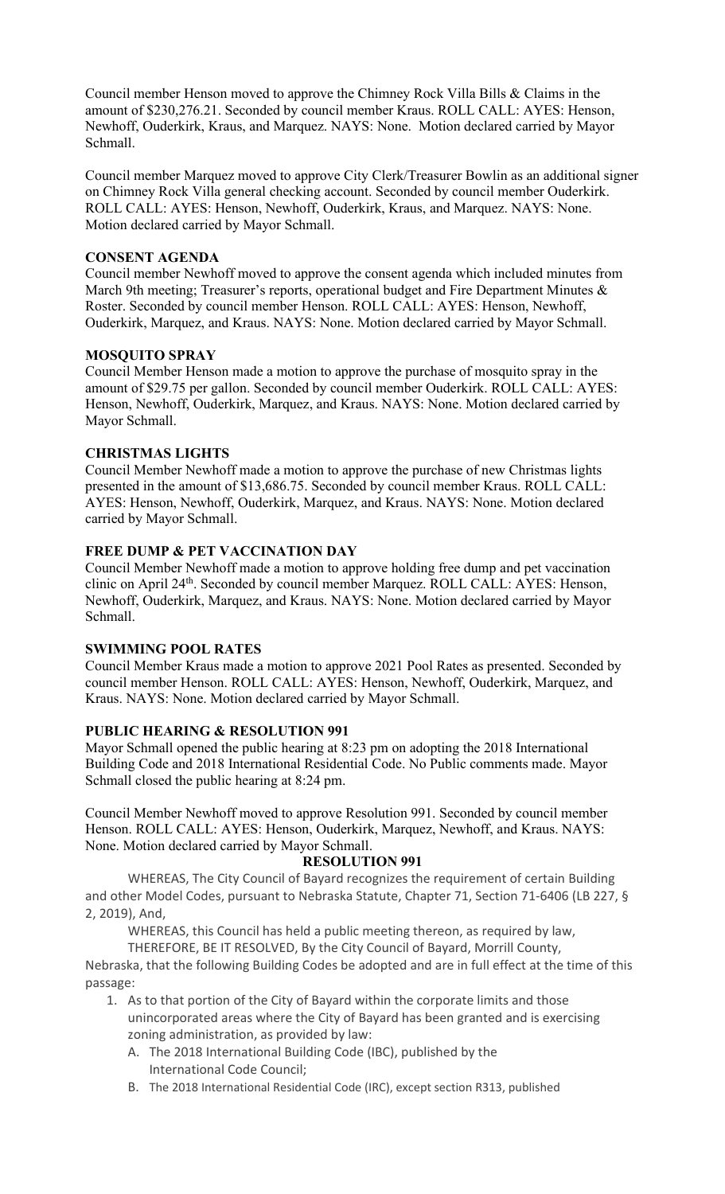Council member Henson moved to approve the Chimney Rock Villa Bills & Claims in the amount of \$230,276.21. Seconded by council member Kraus. ROLL CALL: AYES: Henson, Newhoff, Ouderkirk, Kraus, and Marquez. NAYS: None. Motion declared carried by Mayor Schmall.

Council member Marquez moved to approve City Clerk/Treasurer Bowlin as an additional signer on Chimney Rock Villa general checking account. Seconded by council member Ouderkirk. ROLL CALL: AYES: Henson, Newhoff, Ouderkirk, Kraus, and Marquez. NAYS: None. Motion declared carried by Mayor Schmall.

### **CONSENT AGENDA**

Council member Newhoff moved to approve the consent agenda which included minutes from March 9th meeting; Treasurer's reports, operational budget and Fire Department Minutes & Roster. Seconded by council member Henson. ROLL CALL: AYES: Henson, Newhoff, Ouderkirk, Marquez, and Kraus. NAYS: None. Motion declared carried by Mayor Schmall.

#### **MOSQUITO SPRAY**

Council Member Henson made a motion to approve the purchase of mosquito spray in the amount of \$29.75 per gallon. Seconded by council member Ouderkirk. ROLL CALL: AYES: Henson, Newhoff, Ouderkirk, Marquez, and Kraus. NAYS: None. Motion declared carried by Mayor Schmall.

#### **CHRISTMAS LIGHTS**

Council Member Newhoff made a motion to approve the purchase of new Christmas lights presented in the amount of \$13,686.75. Seconded by council member Kraus. ROLL CALL: AYES: Henson, Newhoff, Ouderkirk, Marquez, and Kraus. NAYS: None. Motion declared carried by Mayor Schmall.

## **FREE DUMP & PET VACCINATION DAY**

Council Member Newhoff made a motion to approve holding free dump and pet vaccination clinic on April 24<sup>th</sup>. Seconded by council member Marquez. ROLL CALL: AYES: Henson, Newhoff, Ouderkirk, Marquez, and Kraus. NAYS: None. Motion declared carried by Mayor Schmall.

#### **SWIMMING POOL RATES**

Council Member Kraus made a motion to approve 2021 Pool Rates as presented. Seconded by council member Henson. ROLL CALL: AYES: Henson, Newhoff, Ouderkirk, Marquez, and Kraus. NAYS: None. Motion declared carried by Mayor Schmall.

#### **PUBLIC HEARING & RESOLUTION 991**

Mayor Schmall opened the public hearing at 8:23 pm on adopting the 2018 International Building Code and 2018 International Residential Code. No Public comments made. Mayor Schmall closed the public hearing at 8:24 pm.

Council Member Newhoff moved to approve Resolution 991. Seconded by council member Henson. ROLL CALL: AYES: Henson, Ouderkirk, Marquez, Newhoff, and Kraus. NAYS: None. Motion declared carried by Mayor Schmall.

#### **RESOLUTION 991**

WHEREAS, The City Council of Bayard recognizes the requirement of certain Building and other Model Codes, pursuant to Nebraska Statute, Chapter 71, Section 71-6406 (LB 227, § 2, 2019), And,

WHEREAS, this Council has held a public meeting thereon, as required by law,

THEREFORE, BE IT RESOLVED, By the City Council of Bayard, Morrill County,

Nebraska, that the following Building Codes be adopted and are in full effect at the time of this passage:

- 1. As to that portion of the City of Bayard within the corporate limits and those unincorporated areas where the City of Bayard has been granted and is exercising zoning administration, as provided by law:
	- A. The 2018 International Building Code (IBC), published by the International Code Council;
	- B. The 2018 International Residential Code (IRC), except section R313, published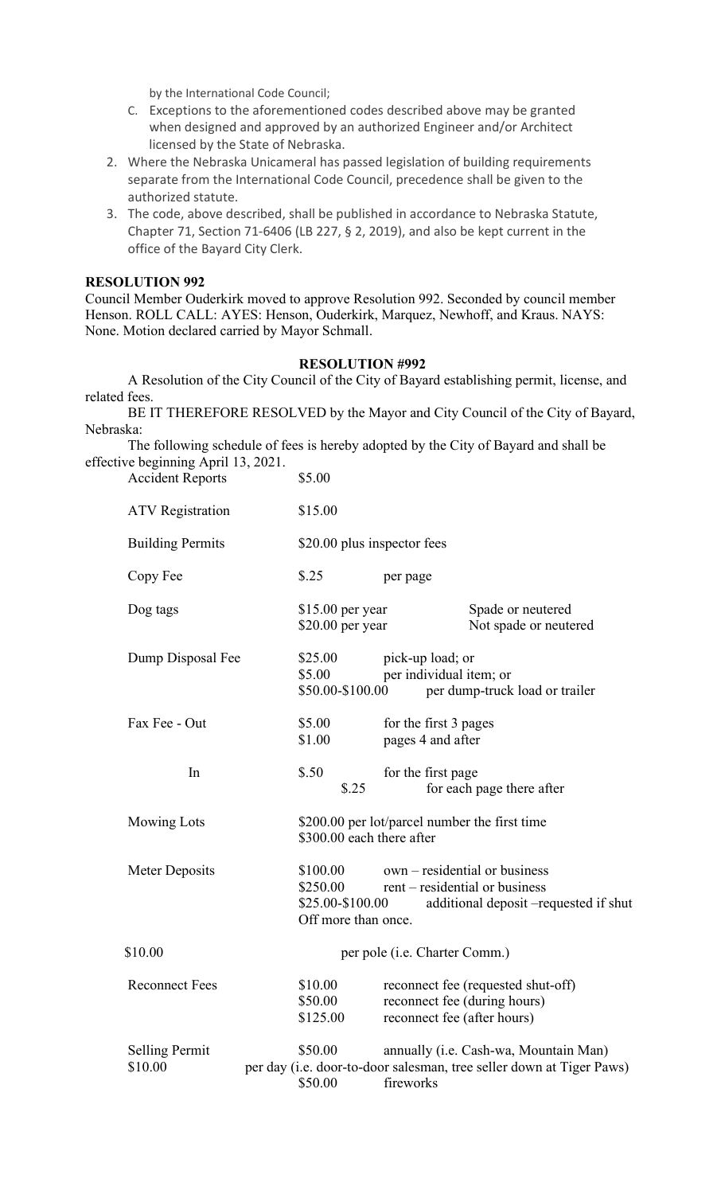by the International Code Council;

- C. Exceptions to the aforementioned codes described above may be granted when designed and approved by an authorized Engineer and/or Architect licensed by the State of Nebraska.
- 2. Where the Nebraska Unicameral has passed legislation of building requirements separate from the International Code Council, precedence shall be given to the authorized statute.
- 3. The code, above described, shall be published in accordance to Nebraska Statute, Chapter 71, Section 71-6406 (LB 227, § 2, 2019), and also be kept current in the office of the Bayard City Clerk.

#### **RESOLUTION 992**

Council Member Ouderkirk moved to approve Resolution 992. Seconded by council member Henson. ROLL CALL: AYES: Henson, Ouderkirk, Marquez, Newhoff, and Kraus. NAYS: None. Motion declared carried by Mayor Schmall.

#### **RESOLUTION #992**

A Resolution of the City Council of the City of Bayard establishing permit, license, and related fees.

BE IT THEREFORE RESOLVED by the Mayor and City Council of the City of Bayard, Nebraska:

The following schedule of fees is hereby adopted by the City of Bayard and shall be effective beginning April 13, 2021. Accident Reports \$5.00

| <b>ATV</b> Registration          | \$15.00                                                                                                                                                                     |  |  |
|----------------------------------|-----------------------------------------------------------------------------------------------------------------------------------------------------------------------------|--|--|
| <b>Building Permits</b>          | \$20.00 plus inspector fees                                                                                                                                                 |  |  |
| Copy Fee                         | \$.25<br>per page                                                                                                                                                           |  |  |
| Dog tags                         | $$15.00$ per year<br>Spade or neutered<br>$$20.00$ per year<br>Not spade or neutered                                                                                        |  |  |
| Dump Disposal Fee                | \$25.00<br>pick-up load; or<br>\$5.00<br>per individual item; or<br>\$50.00-\$100.00<br>per dump-truck load or trailer                                                      |  |  |
| Fax Fee - Out                    | \$5.00<br>for the first 3 pages<br>\$1.00<br>pages 4 and after                                                                                                              |  |  |
| In                               | \$.50<br>for the first page<br>\$.25<br>for each page there after                                                                                                           |  |  |
| <b>Mowing Lots</b>               | \$200.00 per lot/parcel number the first time<br>\$300.00 each there after                                                                                                  |  |  |
| Meter Deposits                   | \$100.00<br>own – residential or business<br>\$250.00<br>rent – residential or business<br>\$25.00-\$100.00<br>additional deposit -requested if shut<br>Off more than once. |  |  |
| \$10.00                          | per pole (i.e. Charter Comm.)                                                                                                                                               |  |  |
| <b>Reconnect Fees</b>            | \$10.00<br>reconnect fee (requested shut-off)<br>\$50.00<br>reconnect fee (during hours)<br>\$125.00<br>reconnect fee (after hours)                                         |  |  |
| <b>Selling Permit</b><br>\$10.00 | \$50.00<br>annually (i.e. Cash-wa, Mountain Man)<br>per day (i.e. door-to-door salesman, tree seller down at Tiger Paws)<br>\$50.00<br>fireworks                            |  |  |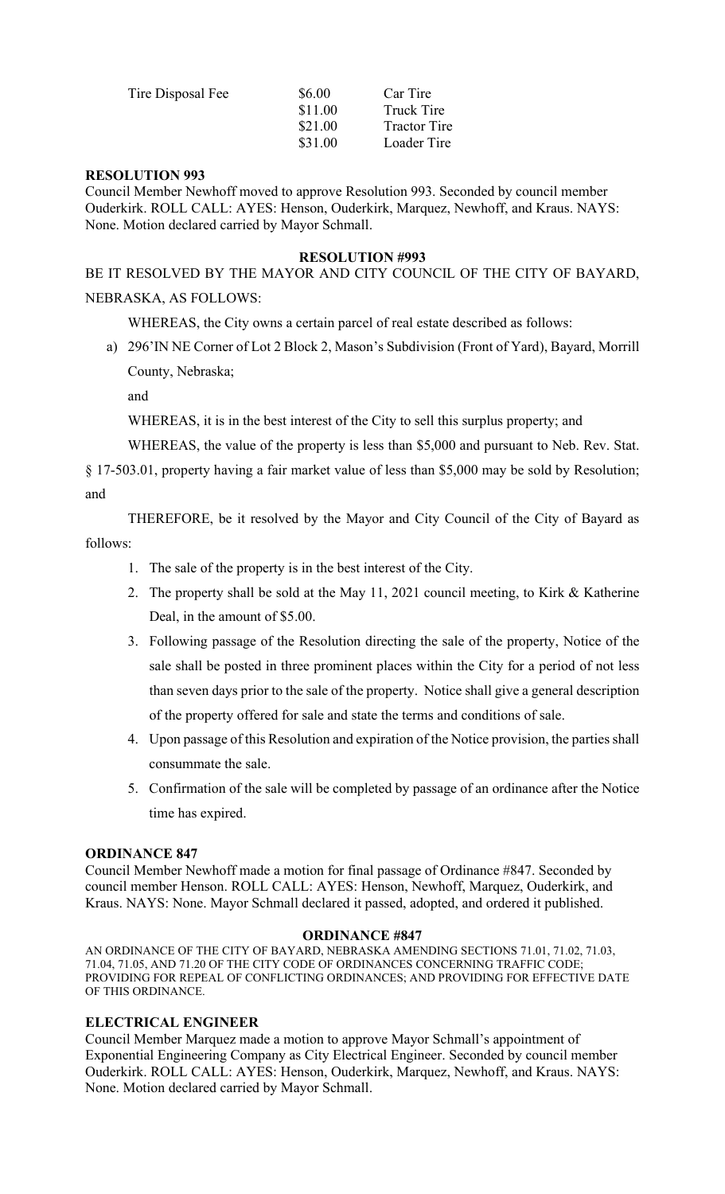| Tire Disposal Fee | \$6.00  | Car Tire            |
|-------------------|---------|---------------------|
|                   | \$11.00 | Truck Tire          |
|                   | \$21.00 | <b>Tractor Tire</b> |
|                   | \$31.00 | Loader Tire         |

#### **RESOLUTION 993**

Council Member Newhoff moved to approve Resolution 993. Seconded by council member Ouderkirk. ROLL CALL: AYES: Henson, Ouderkirk, Marquez, Newhoff, and Kraus. NAYS: None. Motion declared carried by Mayor Schmall.

#### **RESOLUTION #993**

BE IT RESOLVED BY THE MAYOR AND CITY COUNCIL OF THE CITY OF BAYARD,

### NEBRASKA, AS FOLLOWS:

WHEREAS, the City owns a certain parcel of real estate described as follows:

a) 296'IN NE Corner of Lot 2 Block 2, Mason's Subdivision (Front of Yard), Bayard, Morrill County, Nebraska;

and

WHEREAS, it is in the best interest of the City to sell this surplus property; and

WHEREAS, the value of the property is less than \$5,000 and pursuant to Neb. Rev. Stat.

§ 17-503.01, property having a fair market value of less than \$5,000 may be sold by Resolution; and

THEREFORE, be it resolved by the Mayor and City Council of the City of Bayard as follows:

- 1. The sale of the property is in the best interest of the City.
- 2. The property shall be sold at the May 11, 2021 council meeting, to Kirk & Katherine Deal, in the amount of \$5.00.
- 3. Following passage of the Resolution directing the sale of the property, Notice of the sale shall be posted in three prominent places within the City for a period of not less than seven days prior to the sale of the property. Notice shall give a general description of the property offered for sale and state the terms and conditions of sale.
- 4. Upon passage of this Resolution and expiration of the Notice provision, the parties shall consummate the sale.
- 5. Confirmation of the sale will be completed by passage of an ordinance after the Notice time has expired.

#### **ORDINANCE 847**

Council Member Newhoff made a motion for final passage of Ordinance #847. Seconded by council member Henson. ROLL CALL: AYES: Henson, Newhoff, Marquez, Ouderkirk, and Kraus. NAYS: None. Mayor Schmall declared it passed, adopted, and ordered it published.

#### **ORDINANCE #847**

AN ORDINANCE OF THE CITY OF BAYARD, NEBRASKA AMENDING SECTIONS 71.01, 71.02, 71.03, 71.04, 71.05, AND 71.20 OF THE CITY CODE OF ORDINANCES CONCERNING TRAFFIC CODE; PROVIDING FOR REPEAL OF CONFLICTING ORDINANCES; AND PROVIDING FOR EFFECTIVE DATE OF THIS ORDINANCE.

#### **ELECTRICAL ENGINEER**

Council Member Marquez made a motion to approve Mayor Schmall's appointment of Exponential Engineering Company as City Electrical Engineer. Seconded by council member Ouderkirk. ROLL CALL: AYES: Henson, Ouderkirk, Marquez, Newhoff, and Kraus. NAYS: None. Motion declared carried by Mayor Schmall.